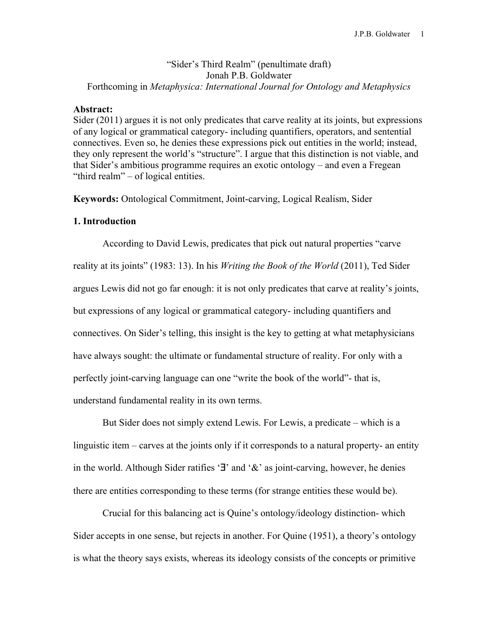# "Sider's Third Realm" (penultimate draft) Jonah P.B. Goldwater Forthcoming in *Metaphysica: International Journal for Ontology and Metaphysics*

#### **Abstract:**

Sider (2011) argues it is not only predicates that carve reality at its joints, but expressions of any logical or grammatical category- including quantifiers, operators, and sentential connectives. Even so, he denies these expressions pick out entities in the world; instead, they only represent the world's "structure". I argue that this distinction is not viable, and that Sider's ambitious programme requires an exotic ontology – and even a Fregean "third realm" – of logical entities.

**Keywords:** Ontological Commitment, Joint-carving, Logical Realism, Sider

### **1. Introduction**

According to David Lewis, predicates that pick out natural properties "carve reality at its joints" (1983: 13). In his *Writing the Book of the World* (2011), Ted Sider argues Lewis did not go far enough: it is not only predicates that carve at reality's joints, but expressions of any logical or grammatical category- including quantifiers and connectives. On Sider's telling, this insight is the key to getting at what metaphysicians have always sought: the ultimate or fundamental structure of reality. For only with a perfectly joint-carving language can one "write the book of the world"- that is, understand fundamental reality in its own terms.

But Sider does not simply extend Lewis. For Lewis, a predicate – which is a linguistic item – carves at the joints only if it corresponds to a natural property- an entity in the world. Although Sider ratifies '∃' and '&' as joint-carving, however, he denies there are entities corresponding to these terms (for strange entities these would be).

Crucial for this balancing act is Quine's ontology/ideology distinction- which Sider accepts in one sense, but rejects in another. For Quine (1951), a theory's ontology is what the theory says exists, whereas its ideology consists of the concepts or primitive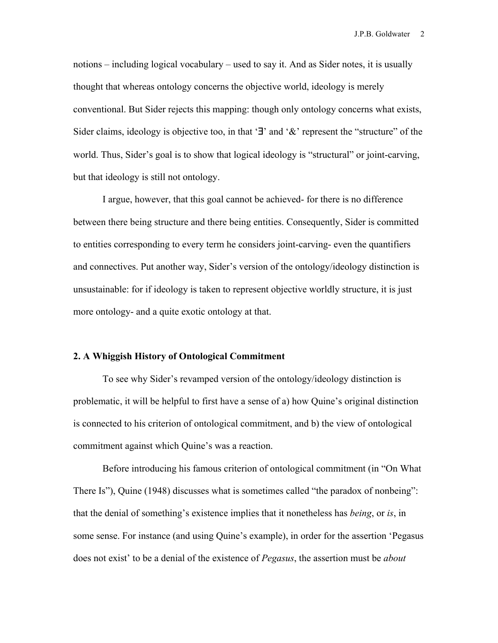notions – including logical vocabulary – used to say it. And as Sider notes, it is usually thought that whereas ontology concerns the objective world, ideology is merely conventional. But Sider rejects this mapping: though only ontology concerns what exists, Sider claims, ideology is objective too, in that '∃' and '&' represent the "structure" of the world. Thus, Sider's goal is to show that logical ideology is "structural" or joint-carving, but that ideology is still not ontology.

I argue, however, that this goal cannot be achieved- for there is no difference between there being structure and there being entities. Consequently, Sider is committed to entities corresponding to every term he considers joint-carving- even the quantifiers and connectives. Put another way, Sider's version of the ontology/ideology distinction is unsustainable: for if ideology is taken to represent objective worldly structure, it is just more ontology- and a quite exotic ontology at that.

#### **2. A Whiggish History of Ontological Commitment**

To see why Sider's revamped version of the ontology/ideology distinction is problematic, it will be helpful to first have a sense of a) how Quine's original distinction is connected to his criterion of ontological commitment, and b) the view of ontological commitment against which Quine's was a reaction.

Before introducing his famous criterion of ontological commitment (in "On What There Is"), Quine (1948) discusses what is sometimes called "the paradox of nonbeing": that the denial of something's existence implies that it nonetheless has *being*, or *is*, in some sense. For instance (and using Quine's example), in order for the assertion 'Pegasus does not exist' to be a denial of the existence of *Pegasus*, the assertion must be *about*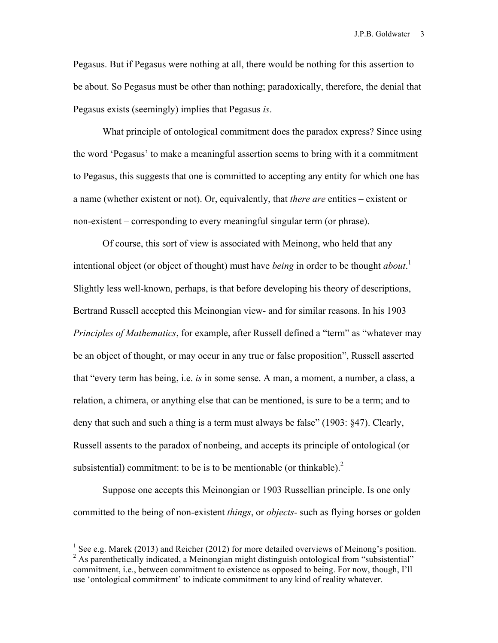Pegasus. But if Pegasus were nothing at all, there would be nothing for this assertion to be about. So Pegasus must be other than nothing; paradoxically, therefore, the denial that Pegasus exists (seemingly) implies that Pegasus *is*.

What principle of ontological commitment does the paradox express? Since using the word 'Pegasus' to make a meaningful assertion seems to bring with it a commitment to Pegasus, this suggests that one is committed to accepting any entity for which one has a name (whether existent or not). Or, equivalently, that *there are* entities – existent or non-existent – corresponding to every meaningful singular term (or phrase).

Of course, this sort of view is associated with Meinong, who held that any intentional object (or object of thought) must have *being* in order to be thought *about*. 1 Slightly less well-known, perhaps, is that before developing his theory of descriptions, Bertrand Russell accepted this Meinongian view- and for similar reasons. In his 1903 *Principles of Mathematics*, for example, after Russell defined a "term" as "whatever may be an object of thought, or may occur in any true or false proposition", Russell asserted that "every term has being, i.e. *is* in some sense. A man, a moment, a number, a class, a relation, a chimera, or anything else that can be mentioned, is sure to be a term; and to deny that such and such a thing is a term must always be false" (1903: §47). Clearly, Russell assents to the paradox of nonbeing, and accepts its principle of ontological (or subsistential) commitment: to be is to be mentionable (or thinkable). $2^2$ 

Suppose one accepts this Meinongian or 1903 Russellian principle. Is one only committed to the being of non-existent *things*, or *objects*- such as flying horses or golden

<sup>&</sup>lt;sup>1</sup> See e.g. Marek (2013) and Reicher (2012) for more detailed overviews of Meinong's position.  $2^2$  As parenthetically indicated, a Meinongian might distinguish ontological from "subsistential" commitment, i.e., between commitment to existence as opposed to being. For now, though, I'll use 'ontological commitment' to indicate commitment to any kind of reality whatever.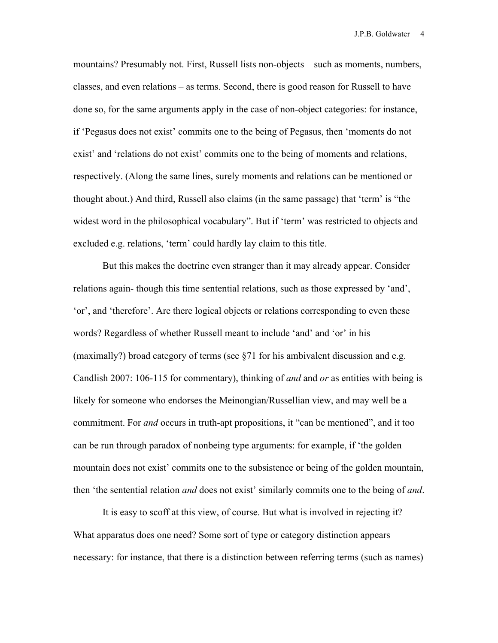mountains? Presumably not. First, Russell lists non-objects – such as moments, numbers, classes, and even relations – as terms. Second, there is good reason for Russell to have done so, for the same arguments apply in the case of non-object categories: for instance, if 'Pegasus does not exist' commits one to the being of Pegasus, then 'moments do not exist' and 'relations do not exist' commits one to the being of moments and relations, respectively. (Along the same lines, surely moments and relations can be mentioned or thought about.) And third, Russell also claims (in the same passage) that 'term' is "the widest word in the philosophical vocabulary". But if 'term' was restricted to objects and excluded e.g. relations, 'term' could hardly lay claim to this title.

But this makes the doctrine even stranger than it may already appear. Consider relations again- though this time sentential relations, such as those expressed by 'and', 'or', and 'therefore'. Are there logical objects or relations corresponding to even these words? Regardless of whether Russell meant to include 'and' and 'or' in his (maximally?) broad category of terms (see §71 for his ambivalent discussion and e.g. Candlish 2007: 106-115 for commentary), thinking of *and* and *or* as entities with being is likely for someone who endorses the Meinongian/Russellian view, and may well be a commitment. For *and* occurs in truth-apt propositions, it "can be mentioned", and it too can be run through paradox of nonbeing type arguments: for example, if 'the golden mountain does not exist' commits one to the subsistence or being of the golden mountain, then 'the sentential relation *and* does not exist' similarly commits one to the being of *and*.

It is easy to scoff at this view, of course. But what is involved in rejecting it? What apparatus does one need? Some sort of type or category distinction appears necessary: for instance, that there is a distinction between referring terms (such as names)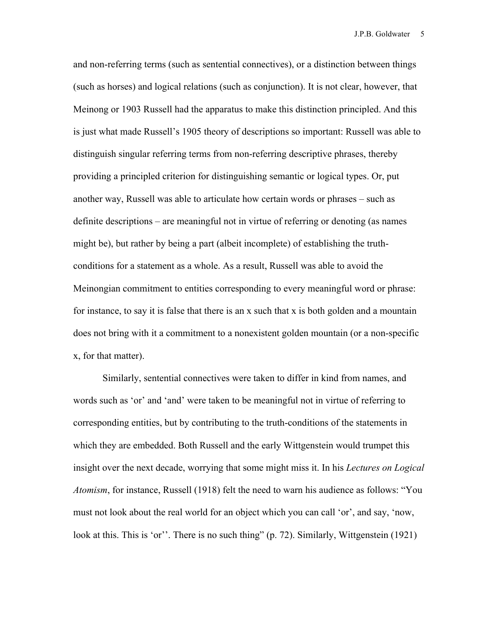and non-referring terms (such as sentential connectives), or a distinction between things (such as horses) and logical relations (such as conjunction). It is not clear, however, that Meinong or 1903 Russell had the apparatus to make this distinction principled. And this is just what made Russell's 1905 theory of descriptions so important: Russell was able to distinguish singular referring terms from non-referring descriptive phrases, thereby providing a principled criterion for distinguishing semantic or logical types. Or, put another way, Russell was able to articulate how certain words or phrases – such as definite descriptions – are meaningful not in virtue of referring or denoting (as names might be), but rather by being a part (albeit incomplete) of establishing the truthconditions for a statement as a whole. As a result, Russell was able to avoid the Meinongian commitment to entities corresponding to every meaningful word or phrase: for instance, to say it is false that there is an x such that x is both golden and a mountain does not bring with it a commitment to a nonexistent golden mountain (or a non-specific x, for that matter).

Similarly, sentential connectives were taken to differ in kind from names, and words such as 'or' and 'and' were taken to be meaningful not in virtue of referring to corresponding entities, but by contributing to the truth-conditions of the statements in which they are embedded. Both Russell and the early Wittgenstein would trumpet this insight over the next decade, worrying that some might miss it. In his *Lectures on Logical Atomism*, for instance, Russell (1918) felt the need to warn his audience as follows: "You must not look about the real world for an object which you can call 'or', and say, 'now, look at this. This is 'or''. There is no such thing" (p. 72). Similarly, Wittgenstein (1921)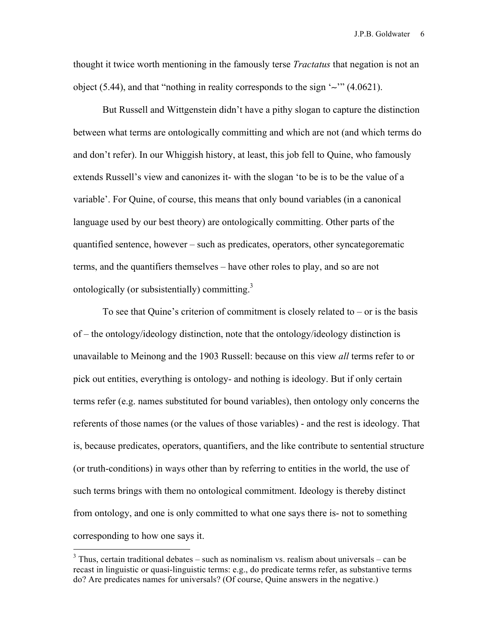thought it twice worth mentioning in the famously terse *Tractatus* that negation is not an object (5.44), and that "nothing in reality corresponds to the sign '∼'" (4.0621).

But Russell and Wittgenstein didn't have a pithy slogan to capture the distinction between what terms are ontologically committing and which are not (and which terms do and don't refer). In our Whiggish history, at least, this job fell to Quine, who famously extends Russell's view and canonizes it- with the slogan 'to be is to be the value of a variable'. For Quine, of course, this means that only bound variables (in a canonical language used by our best theory) are ontologically committing. Other parts of the quantified sentence, however – such as predicates, operators, other syncategorematic terms, and the quantifiers themselves – have other roles to play, and so are not ontologically (or subsistentially) committing.3

To see that Quine's criterion of commitment is closely related to  $-$  or is the basis of – the ontology/ideology distinction, note that the ontology/ideology distinction is unavailable to Meinong and the 1903 Russell: because on this view *all* terms refer to or pick out entities, everything is ontology- and nothing is ideology. But if only certain terms refer (e.g. names substituted for bound variables), then ontology only concerns the referents of those names (or the values of those variables) - and the rest is ideology. That is, because predicates, operators, quantifiers, and the like contribute to sentential structure (or truth-conditions) in ways other than by referring to entities in the world, the use of such terms brings with them no ontological commitment. Ideology is thereby distinct from ontology, and one is only committed to what one says there is- not to something corresponding to how one says it.

 $3$  Thus, certain traditional debates – such as nominalism vs. realism about universals – can be recast in linguistic or quasi-linguistic terms: e.g., do predicate terms refer, as substantive terms do? Are predicates names for universals? (Of course, Quine answers in the negative.)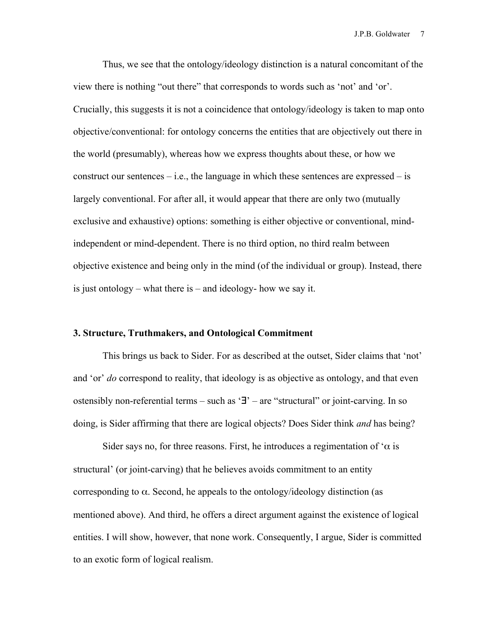Thus, we see that the ontology/ideology distinction is a natural concomitant of the view there is nothing "out there" that corresponds to words such as 'not' and 'or'. Crucially, this suggests it is not a coincidence that ontology/ideology is taken to map onto objective/conventional: for ontology concerns the entities that are objectively out there in the world (presumably), whereas how we express thoughts about these, or how we construct our sentences  $-$  i.e., the language in which these sentences are expressed  $-$  is largely conventional. For after all, it would appear that there are only two (mutually exclusive and exhaustive) options: something is either objective or conventional, mindindependent or mind-dependent. There is no third option, no third realm between objective existence and being only in the mind (of the individual or group). Instead, there is just ontology – what there is – and ideology- how we say it.

### **3. Structure, Truthmakers, and Ontological Commitment**

This brings us back to Sider. For as described at the outset, Sider claims that 'not' and 'or' *do* correspond to reality, that ideology is as objective as ontology, and that even ostensibly non-referential terms – such as '∃' – are "structural" or joint-carving. In so doing, is Sider affirming that there are logical objects? Does Sider think *and* has being?

Sider says no, for three reasons. First, he introduces a regimentation of ' $\alpha$  is structural' (or joint-carving) that he believes avoids commitment to an entity corresponding to  $\alpha$ . Second, he appeals to the ontology/ideology distinction (as mentioned above). And third, he offers a direct argument against the existence of logical entities. I will show, however, that none work. Consequently, I argue, Sider is committed to an exotic form of logical realism.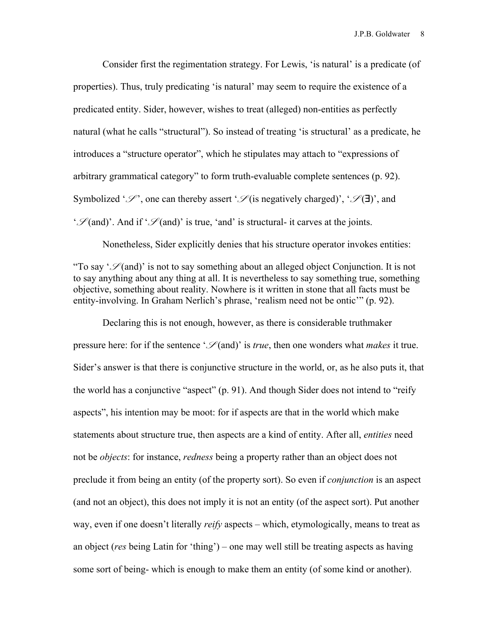Consider first the regimentation strategy. For Lewis, 'is natural' is a predicate (of properties). Thus, truly predicating 'is natural' may seem to require the existence of a predicated entity. Sider, however, wishes to treat (alleged) non-entities as perfectly natural (what he calls "structural"). So instead of treating 'is structural' as a predicate, he introduces a "structure operator", which he stipulates may attach to "expressions of arbitrary grammatical category" to form truth-evaluable complete sentences (p. 92). Symbolized ' $\mathcal{S}'$ ', one can thereby assert ' $\mathcal{S}'$  (is negatively charged)', ' $\mathcal{S}(I)$ ', and '  $\mathscr{S}$ (and)'. And if ' $\mathscr{S}$ (and)' is true, 'and' is structural- it carves at the joints.

Nonetheless, Sider explicitly denies that his structure operator invokes entities:

"To say ' $\mathscr{S}$ (and)' is not to say something about an alleged object Conjunction. It is not to say anything about any thing at all. It is nevertheless to say something true, something objective, something about reality. Nowhere is it written in stone that all facts must be entity-involving. In Graham Nerlich's phrase, 'realism need not be ontic'" (p. 92).

Declaring this is not enough, however, as there is considerable truthmaker pressure here: for if the sentence ' $\mathscr{S}$ (and)' is *true*, then one wonders what *makes* it true. Sider's answer is that there is conjunctive structure in the world, or, as he also puts it, that the world has a conjunctive "aspect" (p. 91). And though Sider does not intend to "reify aspects", his intention may be moot: for if aspects are that in the world which make statements about structure true, then aspects are a kind of entity. After all, *entities* need not be *objects*: for instance, *redness* being a property rather than an object does not preclude it from being an entity (of the property sort). So even if *conjunction* is an aspect (and not an object), this does not imply it is not an entity (of the aspect sort). Put another way, even if one doesn't literally *reify* aspects – which, etymologically, means to treat as an object (*res* being Latin for 'thing') – one may well still be treating aspects as having some sort of being- which is enough to make them an entity (of some kind or another).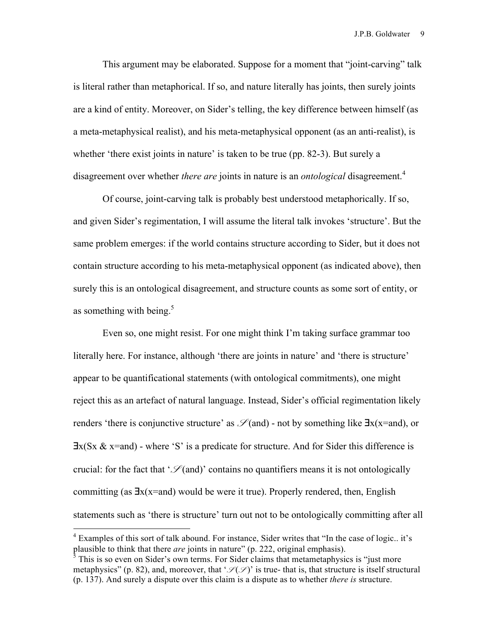This argument may be elaborated. Suppose for a moment that "joint-carving" talk is literal rather than metaphorical. If so, and nature literally has joints, then surely joints are a kind of entity. Moreover, on Sider's telling, the key difference between himself (as a meta-metaphysical realist), and his meta-metaphysical opponent (as an anti-realist), is whether 'there exist joints in nature' is taken to be true (pp. 82-3). But surely a disagreement over whether *there are* joints in nature is an *ontological* disagreement.<sup>4</sup>

Of course, joint-carving talk is probably best understood metaphorically. If so, and given Sider's regimentation, I will assume the literal talk invokes 'structure'. But the same problem emerges: if the world contains structure according to Sider, but it does not contain structure according to his meta-metaphysical opponent (as indicated above), then surely this is an ontological disagreement, and structure counts as some sort of entity, or as something with being. $5$ 

Even so, one might resist. For one might think I'm taking surface grammar too literally here. For instance, although 'there are joints in nature' and 'there is structure' appear to be quantificational statements (with ontological commitments), one might reject this as an artefact of natural language. Instead, Sider's official regimentation likely renders 'there is conjunctive structure' as  $\mathscr{S}$ (and) - not by something like  $\exists x(x=a)$ , or  $\exists x(Sx \& x=and)$  - where 'S' is a predicate for structure. And for Sider this difference is crucial: for the fact that ' $\mathscr{S}$ (and)' contains no quantifiers means it is not ontologically committing (as  $\exists x(x=$ and) would be were it true). Properly rendered, then, English statements such as 'there is structure' turn out not to be ontologically committing after all

 <sup>4</sup> Examples of this sort of talk abound. For instance, Sider writes that "In the case of logic.. it's plausible to think that there *are* joints in nature" (p. 222, original emphasis).

<sup>5</sup> This is so even on Sider's own terms. For Sider claims that metametaphysics is "just more metaphysics" (p. 82), and, moreover, that ' $\mathscr{S}(\mathscr{S})$ ' is true- that is, that structure is itself structural (p. 137). And surely a dispute over this claim is a dispute as to whether *there is* structure.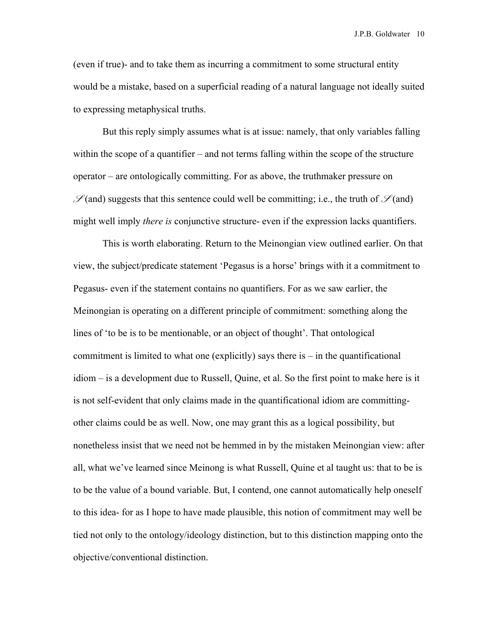(even if true)- and to take them as incurring a commitment to some structural entity would be a mistake, based on a superficial reading of a natural language not ideally suited to expressing metaphysical truths.

But this reply simply assumes what is at issue: namely, that only variables falling within the scope of a quantifier – and not terms falling within the scope of the structure operator – are ontologically committing. For as above, the truthmaker pressure on  $\mathscr{S}$ (and) suggests that this sentence could well be committing; i.e., the truth of  $\mathscr{S}$ (and) might well imply *there is* conjunctive structure- even if the expression lacks quantifiers.

This is worth elaborating. Return to the Meinongian view outlined earlier. On that view, the subject/predicate statement 'Pegasus is a horse' brings with it a commitment to Pegasus- even if the statement contains no quantifiers. For as we saw earlier, the Meinongian is operating on a different principle of commitment: something along the lines of 'to be is to be mentionable, or an object of thought'. That ontological commitment is limited to what one (explicitly) says there is – in the quantificational idiom – is a development due to Russell, Quine, et al. So the first point to make here is it is not self-evident that only claims made in the quantificational idiom are committingother claims could be as well. Now, one may grant this as a logical possibility, but nonetheless insist that we need not be hemmed in by the mistaken Meinongian view: after all, what we've learned since Meinong is what Russell, Quine et al taught us: that to be is to be the value of a bound variable. But, I contend, one cannot automatically help oneself to this idea- for as I hope to have made plausible, this notion of commitment may well be tied not only to the ontology/ideology distinction, but to this distinction mapping onto the objective/conventional distinction.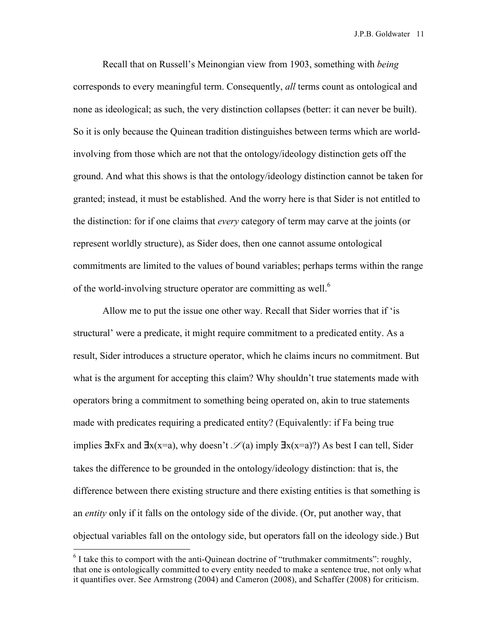Recall that on Russell's Meinongian view from 1903, something with *being* corresponds to every meaningful term. Consequently, *all* terms count as ontological and none as ideological; as such, the very distinction collapses (better: it can never be built). So it is only because the Quinean tradition distinguishes between terms which are worldinvolving from those which are not that the ontology/ideology distinction gets off the ground. And what this shows is that the ontology/ideology distinction cannot be taken for granted; instead, it must be established. And the worry here is that Sider is not entitled to the distinction: for if one claims that *every* category of term may carve at the joints (or represent worldly structure), as Sider does, then one cannot assume ontological commitments are limited to the values of bound variables; perhaps terms within the range of the world-involving structure operator are committing as well.<sup>6</sup>

Allow me to put the issue one other way. Recall that Sider worries that if 'is structural' were a predicate, it might require commitment to a predicated entity. As a result, Sider introduces a structure operator, which he claims incurs no commitment. But what is the argument for accepting this claim? Why shouldn't true statements made with operators bring a commitment to something being operated on, akin to true statements made with predicates requiring a predicated entity? (Equivalently: if Fa being true implies  $\exists xFx$  and  $\exists x(x=a)$ , why doesn't  $\mathscr{S}(a)$  imply  $\exists x(x=a)$ ?) As best I can tell, Sider takes the difference to be grounded in the ontology/ideology distinction: that is, the difference between there existing structure and there existing entities is that something is an *entity* only if it falls on the ontology side of the divide. (Or, put another way, that objectual variables fall on the ontology side, but operators fall on the ideology side.) But

 $6$  I take this to comport with the anti-Quinean doctrine of "truthmaker commitments": roughly, that one is ontologically committed to every entity needed to make a sentence true, not only what it quantifies over. See Armstrong (2004) and Cameron (2008), and Schaffer (2008) for criticism.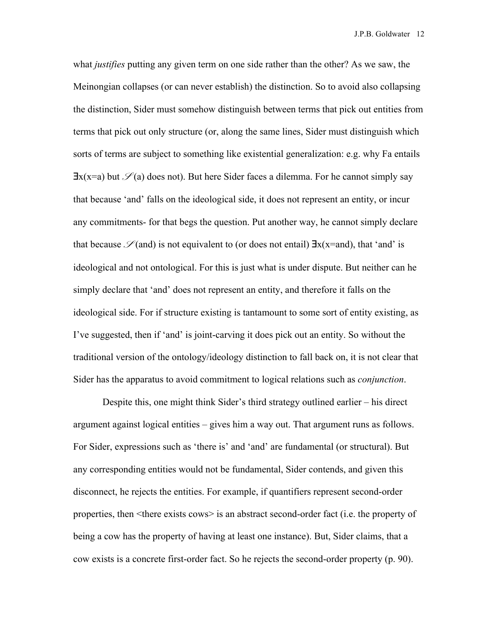what *justifies* putting any given term on one side rather than the other? As we saw, the Meinongian collapses (or can never establish) the distinction. So to avoid also collapsing the distinction, Sider must somehow distinguish between terms that pick out entities from terms that pick out only structure (or, along the same lines, Sider must distinguish which sorts of terms are subject to something like existential generalization: e.g. why Fa entails  $\exists x(x=a)$  but  $\mathscr{S}(a)$  does not). But here Sider faces a dilemma. For he cannot simply say that because 'and' falls on the ideological side, it does not represent an entity, or incur any commitments- for that begs the question. Put another way, he cannot simply declare that because  $\mathscr{S}$ (and) is not equivalent to (or does not entail)  $\exists x(x=and)$ , that 'and' is ideological and not ontological. For this is just what is under dispute. But neither can he simply declare that 'and' does not represent an entity, and therefore it falls on the ideological side. For if structure existing is tantamount to some sort of entity existing, as I've suggested, then if 'and' is joint-carving it does pick out an entity. So without the traditional version of the ontology/ideology distinction to fall back on, it is not clear that Sider has the apparatus to avoid commitment to logical relations such as *conjunction*.

Despite this, one might think Sider's third strategy outlined earlier – his direct argument against logical entities – gives him a way out. That argument runs as follows. For Sider, expressions such as 'there is' and 'and' are fundamental (or structural). But any corresponding entities would not be fundamental, Sider contends, and given this disconnect, he rejects the entities. For example, if quantifiers represent second-order properties, then <there exists cows> is an abstract second-order fact (i.e. the property of being a cow has the property of having at least one instance). But, Sider claims, that a cow exists is a concrete first-order fact. So he rejects the second-order property (p. 90).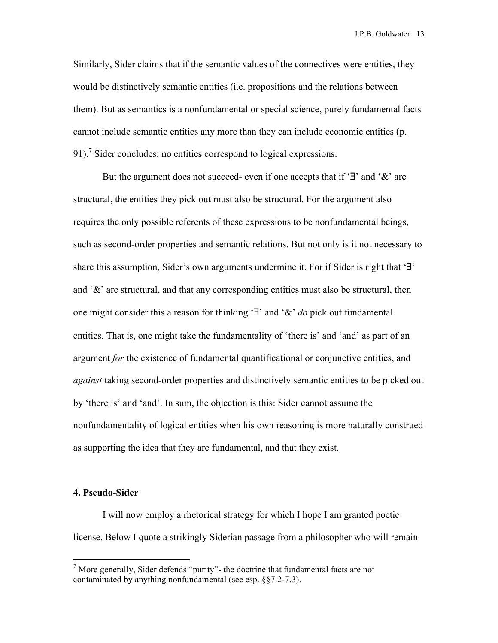Similarly, Sider claims that if the semantic values of the connectives were entities, they would be distinctively semantic entities (i.e. propositions and the relations between them). But as semantics is a nonfundamental or special science, purely fundamental facts cannot include semantic entities any more than they can include economic entities (p. 91).<sup>7</sup> Sider concludes: no entities correspond to logical expressions.

But the argument does not succeed- even if one accepts that if '∃' and '&' are structural, the entities they pick out must also be structural. For the argument also requires the only possible referents of these expressions to be nonfundamental beings, such as second-order properties and semantic relations. But not only is it not necessary to share this assumption, Sider's own arguments undermine it. For if Sider is right that '∃' and '&' are structural, and that any corresponding entities must also be structural, then one might consider this a reason for thinking '∃' and '&' *do* pick out fundamental entities. That is, one might take the fundamentality of 'there is' and 'and' as part of an argument *for* the existence of fundamental quantificational or conjunctive entities, and *against* taking second-order properties and distinctively semantic entities to be picked out by 'there is' and 'and'. In sum, the objection is this: Sider cannot assume the nonfundamentality of logical entities when his own reasoning is more naturally construed as supporting the idea that they are fundamental, and that they exist.

## **4. Pseudo-Sider**

 

I will now employ a rhetorical strategy for which I hope I am granted poetic license. Below I quote a strikingly Siderian passage from a philosopher who will remain

 $<sup>7</sup>$  More generally, Sider defends "purity"- the doctrine that fundamental facts are not</sup> contaminated by anything nonfundamental (see esp. §§7.2-7.3).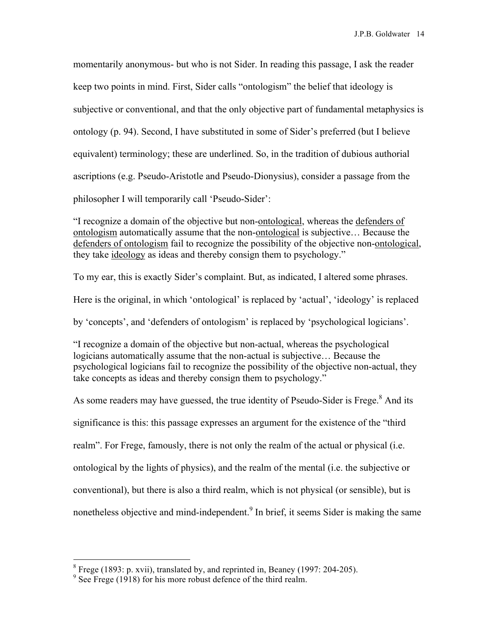momentarily anonymous- but who is not Sider. In reading this passage, I ask the reader keep two points in mind. First, Sider calls "ontologism" the belief that ideology is subjective or conventional, and that the only objective part of fundamental metaphysics is ontology (p. 94). Second, I have substituted in some of Sider's preferred (but I believe equivalent) terminology; these are underlined. So, in the tradition of dubious authorial ascriptions (e.g. Pseudo-Aristotle and Pseudo-Dionysius), consider a passage from the philosopher I will temporarily call 'Pseudo-Sider':

"I recognize a domain of the objective but non-ontological, whereas the defenders of ontologism automatically assume that the non-ontological is subjective… Because the defenders of ontologism fail to recognize the possibility of the objective non-ontological, they take ideology as ideas and thereby consign them to psychology."

To my ear, this is exactly Sider's complaint. But, as indicated, I altered some phrases.

Here is the original, in which 'ontological' is replaced by 'actual', 'ideology' is replaced

by 'concepts', and 'defenders of ontologism' is replaced by 'psychological logicians'.

"I recognize a domain of the objective but non-actual, whereas the psychological logicians automatically assume that the non-actual is subjective… Because the psychological logicians fail to recognize the possibility of the objective non-actual, they take concepts as ideas and thereby consign them to psychology."

As some readers may have guessed, the true identity of Pseudo-Sider is Frege. $^8$  And its significance is this: this passage expresses an argument for the existence of the "third realm". For Frege, famously, there is not only the realm of the actual or physical (i.e. ontological by the lights of physics), and the realm of the mental (i.e. the subjective or conventional), but there is also a third realm, which is not physical (or sensible), but is nonetheless objective and mind-independent.<sup>9</sup> In brief, it seems Sider is making the same

<sup>&</sup>lt;sup>8</sup> Frege (1893: p. xvii), translated by, and reprinted in, Beaney (1997: 204-205).

 $9^9$  See Frege (1918) for his more robust defence of the third realm.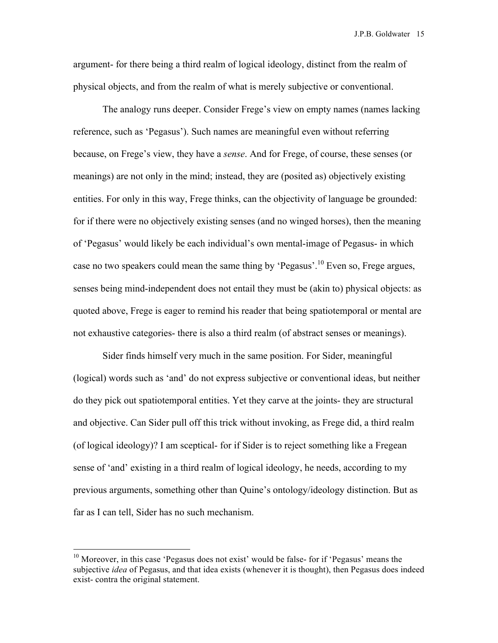argument- for there being a third realm of logical ideology, distinct from the realm of physical objects, and from the realm of what is merely subjective or conventional.

The analogy runs deeper. Consider Frege's view on empty names (names lacking reference, such as 'Pegasus'). Such names are meaningful even without referring because, on Frege's view, they have a *sense*. And for Frege, of course, these senses (or meanings) are not only in the mind; instead, they are (posited as) objectively existing entities. For only in this way, Frege thinks, can the objectivity of language be grounded: for if there were no objectively existing senses (and no winged horses), then the meaning of 'Pegasus' would likely be each individual's own mental-image of Pegasus- in which case no two speakers could mean the same thing by 'Pegasus'.10 Even so, Frege argues, senses being mind-independent does not entail they must be (akin to) physical objects: as quoted above, Frege is eager to remind his reader that being spatiotemporal or mental are not exhaustive categories- there is also a third realm (of abstract senses or meanings).

Sider finds himself very much in the same position. For Sider, meaningful (logical) words such as 'and' do not express subjective or conventional ideas, but neither do they pick out spatiotemporal entities. Yet they carve at the joints- they are structural and objective. Can Sider pull off this trick without invoking, as Frege did, a third realm (of logical ideology)? I am sceptical- for if Sider is to reject something like a Fregean sense of 'and' existing in a third realm of logical ideology, he needs, according to my previous arguments, something other than Quine's ontology/ideology distinction. But as far as I can tell, Sider has no such mechanism.

 $10$  Moreover, in this case 'Pegasus does not exist' would be false- for if 'Pegasus' means the subjective *idea* of Pegasus, and that idea exists (whenever it is thought), then Pegasus does indeed exist- contra the original statement.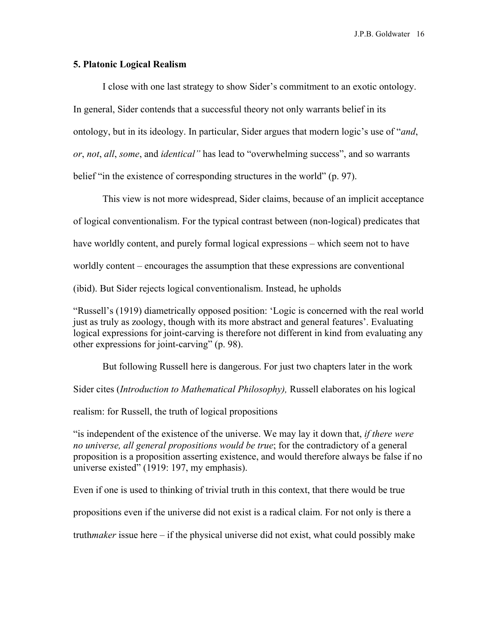## **5. Platonic Logical Realism**

I close with one last strategy to show Sider's commitment to an exotic ontology. In general, Sider contends that a successful theory not only warrants belief in its ontology, but in its ideology. In particular, Sider argues that modern logic's use of "*and*, *or*, *not*, *all*, *some*, and *identical"* has lead to "overwhelming success", and so warrants belief "in the existence of corresponding structures in the world" (p. 97).

This view is not more widespread, Sider claims, because of an implicit acceptance of logical conventionalism. For the typical contrast between (non-logical) predicates that have worldly content, and purely formal logical expressions – which seem not to have worldly content – encourages the assumption that these expressions are conventional (ibid). But Sider rejects logical conventionalism. Instead, he upholds

"Russell's (1919) diametrically opposed position: 'Logic is concerned with the real world just as truly as zoology, though with its more abstract and general features'. Evaluating logical expressions for joint-carving is therefore not different in kind from evaluating any other expressions for joint-carving" (p. 98).

But following Russell here is dangerous. For just two chapters later in the work Sider cites (*Introduction to Mathematical Philosophy),* Russell elaborates on his logical

realism: for Russell, the truth of logical propositions

"is independent of the existence of the universe. We may lay it down that, *if there were no universe, all general propositions would be true*; for the contradictory of a general proposition is a proposition asserting existence, and would therefore always be false if no universe existed" (1919: 197, my emphasis).

Even if one is used to thinking of trivial truth in this context, that there would be true

propositions even if the universe did not exist is a radical claim. For not only is there a

truth*maker* issue here – if the physical universe did not exist, what could possibly make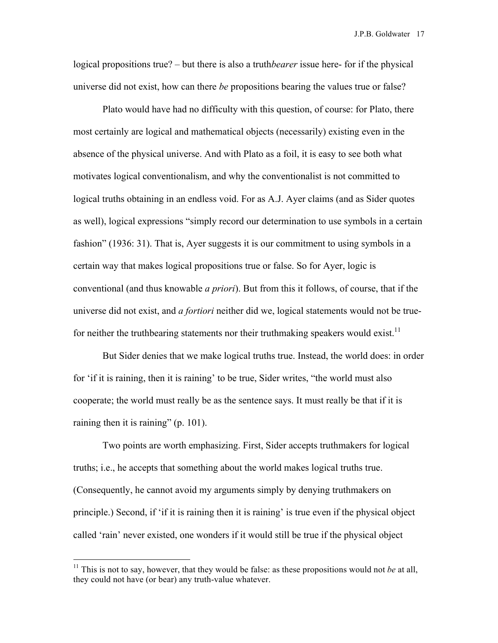logical propositions true? – but there is also a truth*bearer* issue here- for if the physical universe did not exist, how can there *be* propositions bearing the values true or false?

Plato would have had no difficulty with this question, of course: for Plato, there most certainly are logical and mathematical objects (necessarily) existing even in the absence of the physical universe. And with Plato as a foil, it is easy to see both what motivates logical conventionalism, and why the conventionalist is not committed to logical truths obtaining in an endless void. For as A.J. Ayer claims (and as Sider quotes as well), logical expressions "simply record our determination to use symbols in a certain fashion" (1936: 31). That is, Ayer suggests it is our commitment to using symbols in a certain way that makes logical propositions true or false. So for Ayer, logic is conventional (and thus knowable *a priori*). But from this it follows, of course, that if the universe did not exist, and *a fortiori* neither did we, logical statements would not be truefor neither the truthbearing statements nor their truthmaking speakers would exist.<sup>11</sup>

But Sider denies that we make logical truths true. Instead, the world does: in order for 'if it is raining, then it is raining' to be true, Sider writes, "the world must also cooperate; the world must really be as the sentence says. It must really be that if it is raining then it is raining" (p. 101).

Two points are worth emphasizing. First, Sider accepts truthmakers for logical truths; i.e., he accepts that something about the world makes logical truths true. (Consequently, he cannot avoid my arguments simply by denying truthmakers on principle.) Second, if 'if it is raining then it is raining' is true even if the physical object called 'rain' never existed, one wonders if it would still be true if the physical object

 $11$ <sup>11</sup> This is not to say, however, that they would be false: as these propositions would not *be* at all, they could not have (or bear) any truth-value whatever.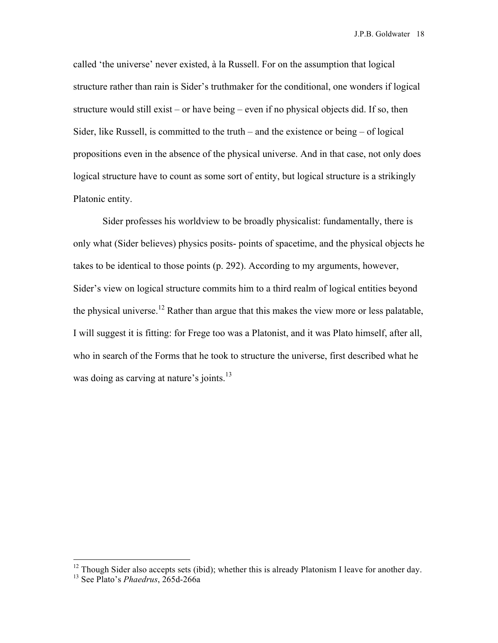called 'the universe' never existed, à la Russell. For on the assumption that logical structure rather than rain is Sider's truthmaker for the conditional, one wonders if logical structure would still exist – or have being – even if no physical objects did. If so, then Sider, like Russell, is committed to the truth – and the existence or being – of logical propositions even in the absence of the physical universe. And in that case, not only does logical structure have to count as some sort of entity, but logical structure is a strikingly Platonic entity.

Sider professes his worldview to be broadly physicalist: fundamentally, there is only what (Sider believes) physics posits- points of spacetime, and the physical objects he takes to be identical to those points (p. 292). According to my arguments, however, Sider's view on logical structure commits him to a third realm of logical entities beyond the physical universe.<sup>12</sup> Rather than argue that this makes the view more or less palatable, I will suggest it is fitting: for Frege too was a Platonist, and it was Plato himself, after all, who in search of the Forms that he took to structure the universe, first described what he was doing as carving at nature's joints. $13$ 

 $12$  Though Sider also accepts sets (ibid); whether this is already Platonism I leave for another day.

<sup>13</sup> See Plato's *Phaedrus*, 265d-266a